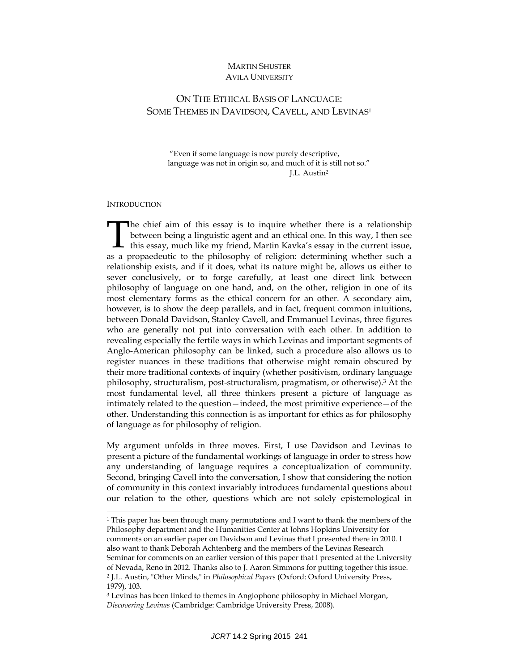# MARTIN SHUSTER **AVILA UNIVERSITY**

# ON THE ETHICAL BASIS OF LANGUAGE: SOME THEMES IN DAVIDSON, CAVELL, AND LEVINAS1

 "Even if some language is now purely descriptive, language was not in origin so, and much of it is still not so." J.L. Austin2

#### **INTRODUCTION**

l

The chief aim of this essay is to inquire whether there is a relationship between being a linguistic agent and an ethical one. In this way, I then see The chief aim of this essay is to inquire whether there is a relationship<br>between being a linguistic agent and an ethical one. In this way, I then see<br>this essay, much like my friend, Martin Kavka's essay in the current is as a propaedeutic to the philosophy of religion: determining whether such a relationship exists, and if it does, what its nature might be, allows us either to sever conclusively, or to forge carefully, at least one direct link between philosophy of language on one hand, and, on the other, religion in one of its most elementary forms as the ethical concern for an other. A secondary aim, however, is to show the deep parallels, and in fact, frequent common intuitions, between Donald Davidson, Stanley Cavell, and Emmanuel Levinas, three figures who are generally not put into conversation with each other. In addition to revealing especially the fertile ways in which Levinas and important segments of Anglo-American philosophy can be linked, such a procedure also allows us to register nuances in these traditions that otherwise might remain obscured by their more traditional contexts of inquiry (whether positivism, ordinary language philosophy, structuralism, post-structuralism, pragmatism, or otherwise).3 At the most fundamental level, all three thinkers present a picture of language as intimately related to the question—indeed, the most primitive experience—of the other. Understanding this connection is as important for ethics as for philosophy of language as for philosophy of religion.

My argument unfolds in three moves. First, I use Davidson and Levinas to present a picture of the fundamental workings of language in order to stress how any understanding of language requires a conceptualization of community. Second, bringing Cavell into the conversation, I show that considering the notion of community in this context invariably introduces fundamental questions about our relation to the other, questions which are not solely epistemological in

<sup>&</sup>lt;sup>1</sup> This paper has been through many permutations and I want to thank the members of the Philosophy department and the Humanities Center at Johns Hopkins University for comments on an earlier paper on Davidson and Levinas that I presented there in 2010. I also want to thank Deborah Achtenberg and the members of the Levinas Research Seminar for comments on an earlier version of this paper that I presented at the University of Nevada, Reno in 2012. Thanks also to J. Aaron Simmons for putting together this issue. 2 J.L. Austin, "Other Minds," in *Philosophical Papers* (Oxford: Oxford University Press, 1979), 103.

<sup>3</sup> Levinas has been linked to themes in Anglophone philosophy in Michael Morgan, *Discovering Levinas* (Cambridge: Cambridge University Press, 2008).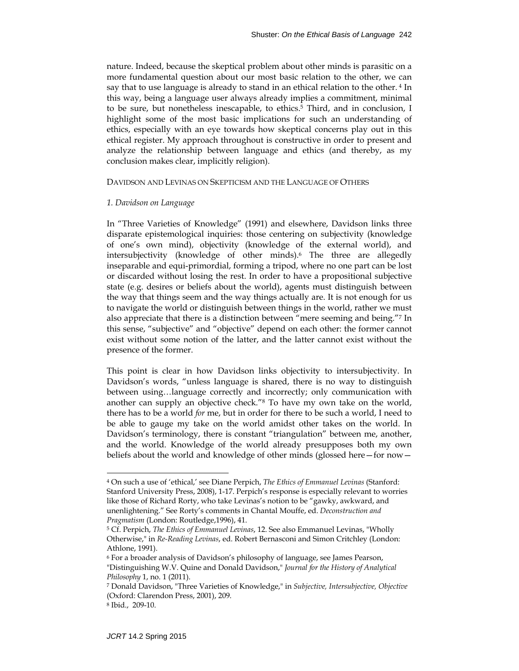nature. Indeed, because the skeptical problem about other minds is parasitic on a more fundamental question about our most basic relation to the other, we can say that to use language is already to stand in an ethical relation to the other. 4 In this way, being a language user always already implies a commitment, minimal to be sure, but nonetheless inescapable, to ethics.<sup>5</sup> Third, and in conclusion, I highlight some of the most basic implications for such an understanding of ethics, especially with an eye towards how skeptical concerns play out in this ethical register. My approach throughout is constructive in order to present and analyze the relationship between language and ethics (and thereby, as my conclusion makes clear, implicitly religion).

# DAVIDSON AND LEVINAS ON SKEPTICISM AND THE LANGUAGE OF OTHERS

### *1. Davidson on Language*

In "Three Varieties of Knowledge" (1991) and elsewhere, Davidson links three disparate epistemological inquiries: those centering on subjectivity (knowledge of one's own mind), objectivity (knowledge of the external world), and intersubjectivity (knowledge of other minds).6 The three are allegedly inseparable and equi-primordial, forming a tripod, where no one part can be lost or discarded without losing the rest. In order to have a propositional subjective state (e.g. desires or beliefs about the world), agents must distinguish between the way that things seem and the way things actually are. It is not enough for us to navigate the world or distinguish between things in the world, rather we must also appreciate that there is a distinction between "mere seeming and being."7 In this sense, "subjective" and "objective" depend on each other: the former cannot exist without some notion of the latter, and the latter cannot exist without the presence of the former.

This point is clear in how Davidson links objectivity to intersubjectivity. In Davidson's words, "unless language is shared, there is no way to distinguish between using…language correctly and incorrectly; only communication with another can supply an objective check."8 To have my own take on the world, there has to be a world *for* me, but in order for there to be such a world, I need to be able to gauge my take on the world amidst other takes on the world. In Davidson's terminology, there is constant "triangulation" between me, another, and the world. Knowledge of the world already presupposes both my own beliefs about the world and knowledge of other minds (glossed here—for now—

<sup>4</sup> On such a use of 'ethical,' see Diane Perpich, *The Ethics of Emmanuel Levinas* (Stanford: Stanford University Press, 2008), 1-17. Perpich's response is especially relevant to worries like those of Richard Rorty, who take Levinas's notion to be "gawky, awkward, and unenlightening." See Rorty's comments in Chantal Mouffe, ed. *Deconstruction and Pragmatism* (London: Routledge,1996), 41.

<sup>5</sup> Cf. Perpich, *The Ethics of Emmanuel Levinas*, 12. See also Emmanuel Levinas, "Wholly Otherwise," in *Re-Reading Levinas*, ed. Robert Bernasconi and Simon Critchley (London: Athlone, 1991).

<sup>6</sup> For a broader analysis of Davidson's philosophy of language, see James Pearson, "Distinguishing W.V. Quine and Donald Davidson," *Journal for the History of Analytical Philosophy* 1, no. 1 (2011).

<sup>7</sup> Donald Davidson, "Three Varieties of Knowledge," in *Subjective, Intersubjective, Objective* (Oxford: Clarendon Press, 2001), 209.

<sup>8</sup> Ibid., 209-10.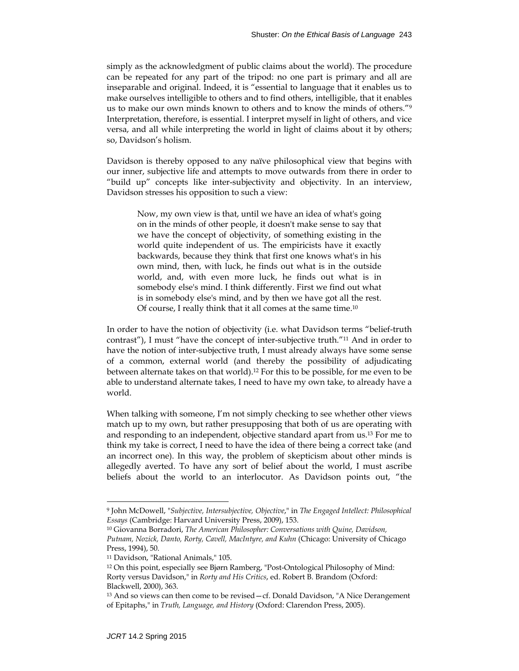simply as the acknowledgment of public claims about the world). The procedure can be repeated for any part of the tripod: no one part is primary and all are inseparable and original. Indeed, it is "essential to language that it enables us to make ourselves intelligible to others and to find others, intelligible, that it enables us to make our own minds known to others and to know the minds of others."9 Interpretation, therefore, is essential. I interpret myself in light of others, and vice versa, and all while interpreting the world in light of claims about it by others; so, Davidson's holism.

Davidson is thereby opposed to any naïve philosophical view that begins with our inner, subjective life and attempts to move outwards from there in order to "build up" concepts like inter-subjectivity and objectivity. In an interview, Davidson stresses his opposition to such a view:

Now, my own view is that, until we have an idea of what's going on in the minds of other people, it doesn't make sense to say that we have the concept of objectivity, of something existing in the world quite independent of us. The empiricists have it exactly backwards, because they think that first one knows what's in his own mind, then, with luck, he finds out what is in the outside world, and, with even more luck, he finds out what is in somebody else's mind. I think differently. First we find out what is in somebody else's mind, and by then we have got all the rest. Of course, I really think that it all comes at the same time.10

In order to have the notion of objectivity (i.e. what Davidson terms "belief-truth contrast"), I must "have the concept of inter-subjective truth."11 And in order to have the notion of inter-subjective truth, I must already always have some sense of a common, external world (and thereby the possibility of adjudicating between alternate takes on that world).12 For this to be possible, for me even to be able to understand alternate takes, I need to have my own take, to already have a world.

When talking with someone, I'm not simply checking to see whether other views match up to my own, but rather presupposing that both of us are operating with and responding to an independent, objective standard apart from us.13 For me to think my take is correct, I need to have the idea of there being a correct take (and an incorrect one). In this way, the problem of skepticism about other minds is allegedly averted. To have any sort of belief about the world, I must ascribe beliefs about the world to an interlocutor. As Davidson points out, "the

<sup>9</sup> John McDowell, "*Subjective, Intersubjective, Objective*," in *The Engaged Intellect: Philosophical Essays* (Cambridge: Harvard University Press, 2009), 153.

<sup>10</sup> Giovanna Borradori, *The American Philosopher: Conversations with Quine, Davidson, Putnam, Nozick, Danto, Rorty, Cavell, MacIntyre, and Kuhn* (Chicago: University of Chicago Press, 1994), 50.

<sup>11</sup> Davidson, "Rational Animals," 105.

<sup>12</sup> On this point, especially see Bjørn Ramberg, "Post-Ontological Philosophy of Mind: Rorty versus Davidson," in *Rorty and His Critics*, ed. Robert B. Brandom (Oxford: Blackwell, 2000), 363.

<sup>13</sup> And so views can then come to be revised—cf. Donald Davidson, "A Nice Derangement of Epitaphs," in *Truth, Language, and History* (Oxford: Clarendon Press, 2005).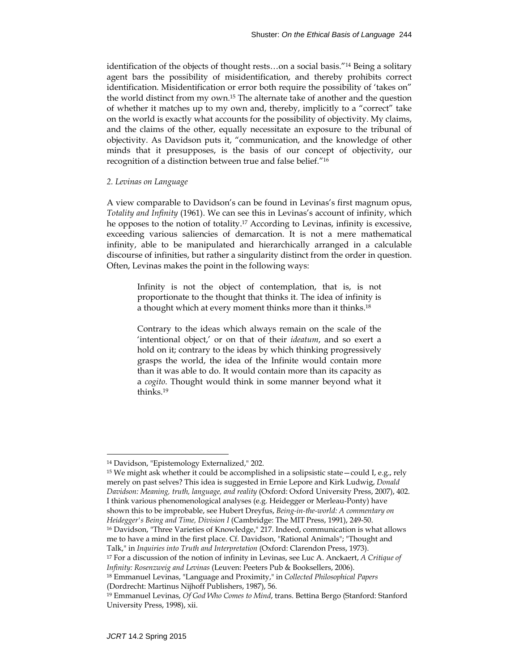identification of the objects of thought rests…on a social basis."14 Being a solitary agent bars the possibility of misidentification, and thereby prohibits correct identification. Misidentification or error both require the possibility of 'takes on" the world distinct from my own.15 The alternate take of another and the question of whether it matches up to my own and, thereby, implicitly to a "correct" take on the world is exactly what accounts for the possibility of objectivity. My claims, and the claims of the other, equally necessitate an exposure to the tribunal of objectivity. As Davidson puts it, "communication, and the knowledge of other minds that it presupposes, is the basis of our concept of objectivity, our recognition of a distinction between true and false belief."16

#### *2. Levinas on Language*

A view comparable to Davidson's can be found in Levinas's first magnum opus, *Totality and Infinity* (1961). We can see this in Levinas's account of infinity, which he opposes to the notion of totality.17 According to Levinas, infinity is excessive, exceeding various saliencies of demarcation. It is not a mere mathematical infinity, able to be manipulated and hierarchically arranged in a calculable discourse of infinities, but rather a singularity distinct from the order in question. Often, Levinas makes the point in the following ways:

Infinity is not the object of contemplation, that is, is not proportionate to the thought that thinks it. The idea of infinity is a thought which at every moment thinks more than it thinks.18

Contrary to the ideas which always remain on the scale of the 'intentional object,' or on that of their *ideatum*, and so exert a hold on it; contrary to the ideas by which thinking progressively grasps the world, the idea of the Infinite would contain more than it was able to do. It would contain more than its capacity as a *cogito*. Thought would think in some manner beyond what it thinks.19

<sup>15</sup> We might ask whether it could be accomplished in a solipsistic state—could I, e.g., rely merely on past selves? This idea is suggested in Ernie Lepore and Kirk Ludwig, *Donald Davidson: Meaning, truth, language, and reality* (Oxford: Oxford University Press, 2007), 402. I think various phenomenological analyses (e.g. Heidegger or Merleau-Ponty) have shown this to be improbable, see Hubert Dreyfus, *Being-in-the-world: A commentary on Heidegger's Being and Time, Division I* (Cambridge: The MIT Press, 1991), 249-50. <sup>16</sup> Davidson, "Three Varieties of Knowledge," 217. Indeed, communication is what allows me to have a mind in the first place. Cf. Davidson, "Rational Animals"; "Thought and Talk," in *Inquiries into Truth and Interpretation* (Oxford: Clarendon Press, 1973).

<sup>14</sup> Davidson, "Epistemology Externalized," 202.

<sup>17</sup> For a discussion of the notion of infinity in Levinas, see Luc A. Anckaert, *A Critique of Infinity: Rosenzweig and Levinas* (Leuven: Peeters Pub & Booksellers, 2006).

<sup>18</sup> Emmanuel Levinas, "Language and Proximity," in *Collected Philosophical Papers* (Dordrecht: Martinus Nijhoff Publishers, 1987), 56.

<sup>19</sup> Emmanuel Levinas, *Of God Who Comes to Mind*, trans. Bettina Bergo (Stanford: Stanford University Press, 1998), xii.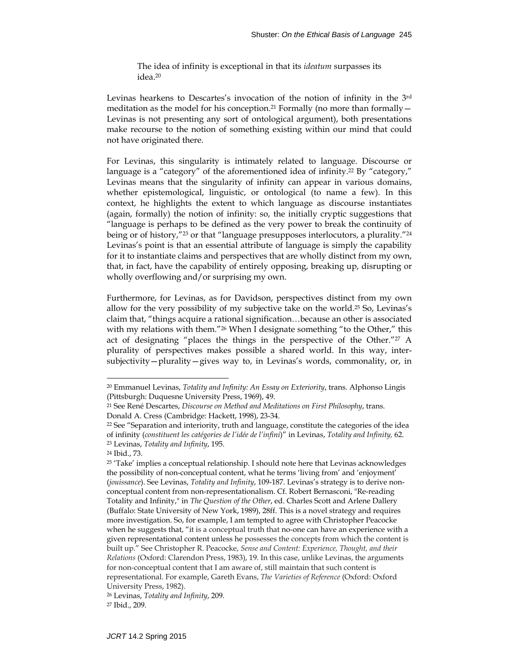The idea of infinity is exceptional in that its *ideatum* surpasses its idea.20

Levinas hearkens to Descartes's invocation of the notion of infinity in the 3rd meditation as the model for his conception.<sup>21</sup> Formally (no more than formally  $-$ Levinas is not presenting any sort of ontological argument), both presentations make recourse to the notion of something existing within our mind that could not have originated there.

For Levinas, this singularity is intimately related to language. Discourse or language is a "category" of the aforementioned idea of infinity.<sup>22</sup> By "category," Levinas means that the singularity of infinity can appear in various domains, whether epistemological, linguistic, or ontological (to name a few). In this context, he highlights the extent to which language as discourse instantiates (again, formally) the notion of infinity: so, the initially cryptic suggestions that "language is perhaps to be defined as the very power to break the continuity of being or of history,"<sup>23</sup> or that "language presupposes interlocutors, a plurality."<sup>24</sup> Levinas's point is that an essential attribute of language is simply the capability for it to instantiate claims and perspectives that are wholly distinct from my own, that, in fact, have the capability of entirely opposing, breaking up, disrupting or wholly overflowing and/or surprising my own.

Furthermore, for Levinas, as for Davidson, perspectives distinct from my own allow for the very possibility of my subjective take on the world.<sup>25</sup> So, Levinas's claim that, "things acquire a rational signification…because an other is associated with my relations with them."<sup>26</sup> When I designate something "to the Other," this act of designating "places the things in the perspective of the Other."27 A plurality of perspectives makes possible a shared world. In this way, intersubjectivity—plurality—gives way to, in Levinas's words, commonality, or, in

<sup>20</sup> Emmanuel Levinas, *Totality and Infinity: An Essay on Exteriority*, trans. Alphonso Lingis (Pittsburgh: Duquesne University Press, 1969), 49.

<sup>21</sup> See René Descartes, *Discourse on Method and Meditations on First Philosophy*, trans. Donald A. Cress (Cambridge: Hackett, 1998), 23-34.

 $22$  See "Separation and interiority, truth and language, constitute the categories of the idea of infinity (*constituent les catégories de l'idée de l'infini*)" in Levinas, *Totality and Infinity,* 62. 23 Levinas, *Totality and Infinity*, 195.

<sup>24</sup> Ibid., 73.

<sup>25 &#</sup>x27;Take' implies a conceptual relationship. I should note here that Levinas acknowledges the possibility of non-conceptual content, what he terms 'living from' and 'enjoyment' (*jouissance*). See Levinas, *Totality and Infinity*, 109-187. Levinas's strategy is to derive nonconceptual content from non-representationalism. Cf. Robert Bernasconi, "Re-reading Totality and Infinity," in *The Question of the Other*, ed. Charles Scott and Arlene Dallery (Buffalo: State University of New York, 1989), 28ff. This is a novel strategy and requires more investigation. So, for example, I am tempted to agree with Christopher Peacocke when he suggests that, "it is a conceptual truth that no-one can have an experience with a given representational content unless he possesses the concepts from which the content is built up." See Christopher R. Peacocke, *Sense and Content: Experience, Thought, and their Relations* (Oxford: Clarendon Press, 1983), 19. In this case, unlike Levinas, the arguments for non-conceptual content that I am aware of, still maintain that such content is representational. For example, Gareth Evans, *The Varieties of Reference* (Oxford: Oxford University Press, 1982).

<sup>26</sup> Levinas, *Totality and Infinity*, 209.

<sup>27</sup> Ibid., 209.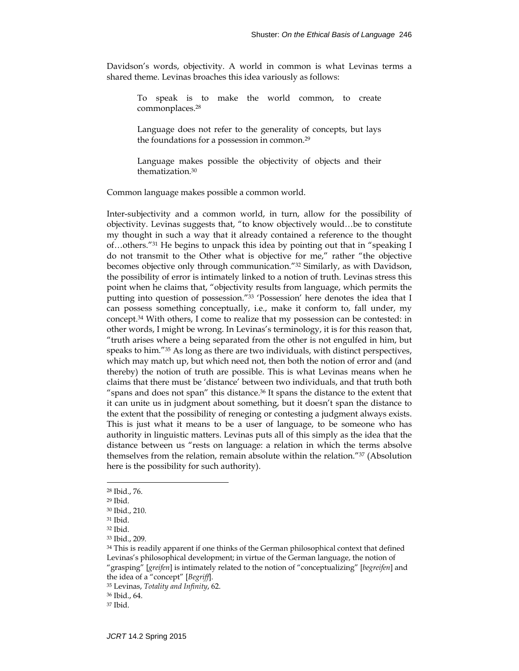Davidson's words, objectivity. A world in common is what Levinas terms a shared theme. Levinas broaches this idea variously as follows:

To speak is to make the world common, to create commonplaces.28

Language does not refer to the generality of concepts, but lays the foundations for a possession in common.29

Language makes possible the objectivity of objects and their thematization.30

Common language makes possible a common world.

Inter-subjectivity and a common world, in turn, allow for the possibility of objectivity. Levinas suggests that, "to know objectively would…be to constitute my thought in such a way that it already contained a reference to the thought of…others."31 He begins to unpack this idea by pointing out that in "speaking I do not transmit to the Other what is objective for me," rather "the objective becomes objective only through communication."32 Similarly, as with Davidson, the possibility of error is intimately linked to a notion of truth. Levinas stress this point when he claims that, "objectivity results from language, which permits the putting into question of possession."33 'Possession' here denotes the idea that I can possess something conceptually, i.e., make it conform to, fall under, my concept.34 With others, I come to realize that my possession can be contested: in other words, I might be wrong. In Levinas's terminology, it is for this reason that, "truth arises where a being separated from the other is not engulfed in him, but speaks to him." $35$  As long as there are two individuals, with distinct perspectives, which may match up, but which need not, then both the notion of error and (and thereby) the notion of truth are possible. This is what Levinas means when he claims that there must be 'distance' between two individuals, and that truth both "spans and does not span" this distance.<sup>36</sup> It spans the distance to the extent that it can unite us in judgment about something, but it doesn't span the distance to the extent that the possibility of reneging or contesting a judgment always exists. This is just what it means to be a user of language, to be someone who has authority in linguistic matters. Levinas puts all of this simply as the idea that the distance between us "rests on language: a relation in which the terms absolve themselves from the relation, remain absolute within the relation."37 (Absolution here is the possibility for such authority).

<sup>28</sup> Ibid., 76.

<sup>29</sup> Ibid.

<sup>30</sup> Ibid., 210.

<sup>31</sup> Ibid.

<sup>32</sup> Ibid.

<sup>33</sup> Ibid., 209.

<sup>&</sup>lt;sup>34</sup> This is readily apparent if one thinks of the German philosophical context that defined Levinas's philosophical development; in virtue of the German language, the notion of "grasping" [*greifen*] is intimately related to the notion of "conceptualizing" [*begreifen*] and the idea of a "concept" [*Begriff*].

<sup>35</sup> Levinas, *Totality and Infinity*, 62.

<sup>36</sup> Ibid., 64.

<sup>37</sup> Ibid.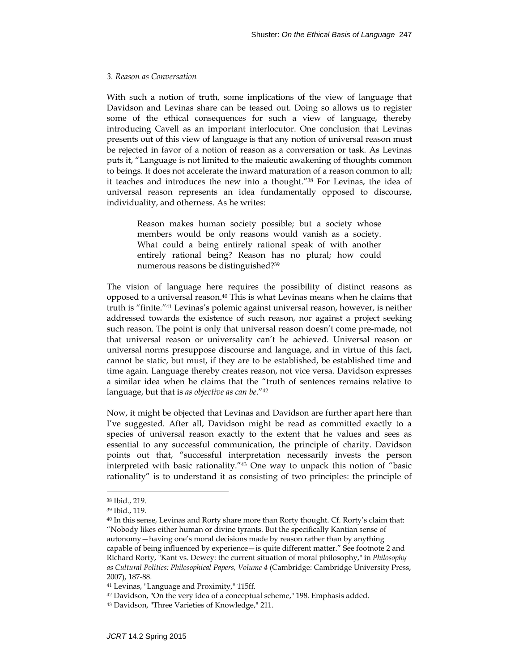#### *3. Reason as Conversation*

With such a notion of truth, some implications of the view of language that Davidson and Levinas share can be teased out. Doing so allows us to register some of the ethical consequences for such a view of language, thereby introducing Cavell as an important interlocutor. One conclusion that Levinas presents out of this view of language is that any notion of universal reason must be rejected in favor of a notion of reason as a conversation or task. As Levinas puts it, "Language is not limited to the maieutic awakening of thoughts common to beings. It does not accelerate the inward maturation of a reason common to all; it teaches and introduces the new into a thought."<sup>38</sup> For Levinas, the idea of universal reason represents an idea fundamentally opposed to discourse, individuality, and otherness. As he writes:

Reason makes human society possible; but a society whose members would be only reasons would vanish as a society. What could a being entirely rational speak of with another entirely rational being? Reason has no plural; how could numerous reasons be distinguished?39

The vision of language here requires the possibility of distinct reasons as opposed to a universal reason.40 This is what Levinas means when he claims that truth is "finite."41 Levinas's polemic against universal reason, however, is neither addressed towards the existence of such reason, nor against a project seeking such reason. The point is only that universal reason doesn't come pre-made, not that universal reason or universality can't be achieved. Universal reason or universal norms presuppose discourse and language, and in virtue of this fact, cannot be static, but must, if they are to be established, be established time and time again. Language thereby creates reason, not vice versa. Davidson expresses a similar idea when he claims that the "truth of sentences remains relative to language, but that is *as objective as can be*."42

Now, it might be objected that Levinas and Davidson are further apart here than I've suggested. After all, Davidson might be read as committed exactly to a species of universal reason exactly to the extent that he values and sees as essential to any successful communication, the principle of charity. Davidson points out that, "successful interpretation necessarily invests the person interpreted with basic rationality."43 One way to unpack this notion of "basic rationality" is to understand it as consisting of two principles: the principle of

<sup>38</sup> Ibid., 219.

<sup>39</sup> Ibid., 119.

<sup>40</sup> In this sense, Levinas and Rorty share more than Rorty thought. Cf. Rorty's claim that: "Nobody likes either human or divine tyrants. But the specifically Kantian sense of autonomy—having one's moral decisions made by reason rather than by anything capable of being influenced by experience—is quite different matter." See footnote 2 and Richard Rorty, "Kant vs. Dewey: the current situation of moral philosophy," in *Philosophy as Cultural Politics: Philosophical Papers, Volume 4* (Cambridge: Cambridge University Press, 2007), 187-88.

<sup>41</sup> Levinas, "Language and Proximity," 115ff.

<sup>42</sup> Davidson, "On the very idea of a conceptual scheme," 198. Emphasis added.

<sup>43</sup> Davidson, "Three Varieties of Knowledge," 211.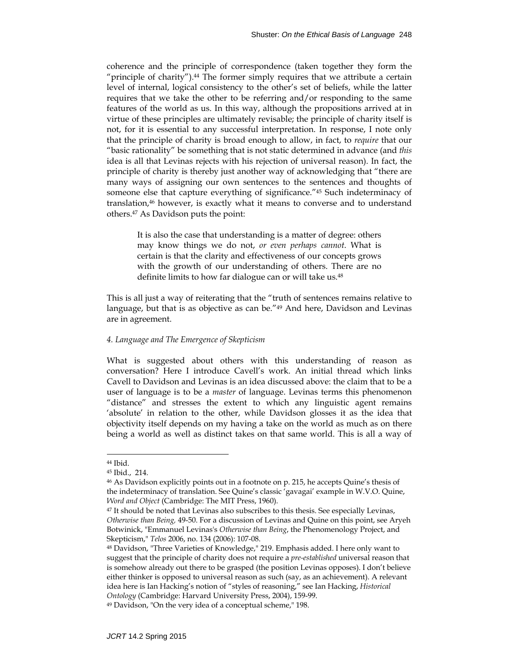coherence and the principle of correspondence (taken together they form the "principle of charity"). $44$  The former simply requires that we attribute a certain level of internal, logical consistency to the other's set of beliefs, while the latter requires that we take the other to be referring and/or responding to the same features of the world as us. In this way, although the propositions arrived at in virtue of these principles are ultimately revisable; the principle of charity itself is not, for it is essential to any successful interpretation. In response, I note only that the principle of charity is broad enough to allow, in fact, to *require* that our "basic rationality" be something that is not static determined in advance (and *this*  idea is all that Levinas rejects with his rejection of universal reason). In fact, the principle of charity is thereby just another way of acknowledging that "there are many ways of assigning our own sentences to the sentences and thoughts of someone else that capture everything of significance."45 Such indeterminacy of translation,46 however, is exactly what it means to converse and to understand others.47 As Davidson puts the point:

It is also the case that understanding is a matter of degree: others may know things we do not, *or even perhaps cannot*. What is certain is that the clarity and effectiveness of our concepts grows with the growth of our understanding of others. There are no definite limits to how far dialogue can or will take us.48

This is all just a way of reiterating that the "truth of sentences remains relative to language, but that is as objective as can be.<sup>"49</sup> And here, Davidson and Levinas are in agreement.

# *4. Language and The Emergence of Skepticism*

What is suggested about others with this understanding of reason as conversation? Here I introduce Cavell's work. An initial thread which links Cavell to Davidson and Levinas is an idea discussed above: the claim that to be a user of language is to be a *master* of language. Levinas terms this phenomenon "distance" and stresses the extent to which any linguistic agent remains 'absolute' in relation to the other, while Davidson glosses it as the idea that objectivity itself depends on my having a take on the world as much as on there being a world as well as distinct takes on that same world. This is all a way of

<sup>44</sup> Ibid.

<sup>45</sup> Ibid., 214.

<sup>46</sup> As Davidson explicitly points out in a footnote on p. 215, he accepts Quine's thesis of the indeterminacy of translation. See Quine's classic 'gavagai' example in W.V.O. Quine, *Word and Object* (Cambridge: The MIT Press, 1960).

<sup>&</sup>lt;sup>47</sup> It should be noted that Levinas also subscribes to this thesis. See especially Levinas, *Otherwise than Being,* 49-50. For a discussion of Levinas and Quine on this point, see Aryeh Botwinick, "Emmanuel Levinas's *Otherwise than Being*, the Phenomenology Project, and Skepticism," *Telos* 2006, no. 134 (2006): 107-08.

<sup>48</sup> Davidson, "Three Varieties of Knowledge," 219. Emphasis added. I here only want to suggest that the principle of charity does not require a *pre-established* universal reason that is somehow already out there to be grasped (the position Levinas opposes). I don't believe either thinker is opposed to universal reason as such (say, as an achievement). A relevant idea here is Ian Hacking's notion of "styles of reasoning," see Ian Hacking, *Historical Ontology* (Cambridge: Harvard University Press, 2004), 159-99.

<sup>49</sup> Davidson, "On the very idea of a conceptual scheme," 198.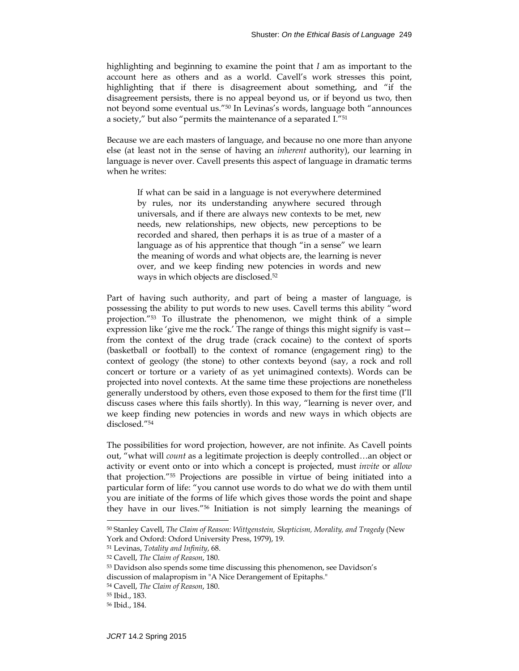highlighting and beginning to examine the point that *I* am as important to the account here as others and as a world. Cavell's work stresses this point, highlighting that if there is disagreement about something, and "if the disagreement persists, there is no appeal beyond us, or if beyond us two, then not beyond some eventual us."50 In Levinas's words, language both "announces a society," but also "permits the maintenance of a separated I."51

Because we are each masters of language, and because no one more than anyone else (at least not in the sense of having an *inherent* authority), our learning in language is never over. Cavell presents this aspect of language in dramatic terms when he writes:

If what can be said in a language is not everywhere determined by rules, nor its understanding anywhere secured through universals, and if there are always new contexts to be met, new needs, new relationships, new objects, new perceptions to be recorded and shared, then perhaps it is as true of a master of a language as of his apprentice that though "in a sense" we learn the meaning of words and what objects are, the learning is never over, and we keep finding new potencies in words and new ways in which objects are disclosed.52

Part of having such authority, and part of being a master of language, is possessing the ability to put words to new uses. Cavell terms this ability "word projection."53 To illustrate the phenomenon, we might think of a simple expression like 'give me the rock.' The range of things this might signify is vast from the context of the drug trade (crack cocaine) to the context of sports (basketball or football) to the context of romance (engagement ring) to the context of geology (the stone) to other contexts beyond (say, a rock and roll concert or torture or a variety of as yet unimagined contexts). Words can be projected into novel contexts. At the same time these projections are nonetheless generally understood by others, even those exposed to them for the first time (I'll discuss cases where this fails shortly). In this way, "learning is never over, and we keep finding new potencies in words and new ways in which objects are disclosed."54

The possibilities for word projection, however, are not infinite. As Cavell points out, "what will *count* as a legitimate projection is deeply controlled…an object or activity or event onto or into which a concept is projected, must *invite* or *allow* that projection."55 Projections are possible in virtue of being initiated into a particular form of life: "you cannot use words to do what we do with them until you are initiate of the forms of life which gives those words the point and shape they have in our lives."56 Initiation is not simply learning the meanings of

<sup>50</sup> Stanley Cavell, *The Claim of Reason: Wittgenstein, Skepticism, Morality, and Tragedy* (New York and Oxford: Oxford University Press, 1979), 19.

<sup>51</sup> Levinas, *Totality and Infinity*, 68.

<sup>52</sup> Cavell, *The Claim of Reason*, 180.

<sup>53</sup> Davidson also spends some time discussing this phenomenon, see Davidson's discussion of malapropism in "A Nice Derangement of Epitaphs."

<sup>54</sup> Cavell, *The Claim of Reason*, 180.

<sup>55</sup> Ibid., 183.

<sup>56</sup> Ibid., 184.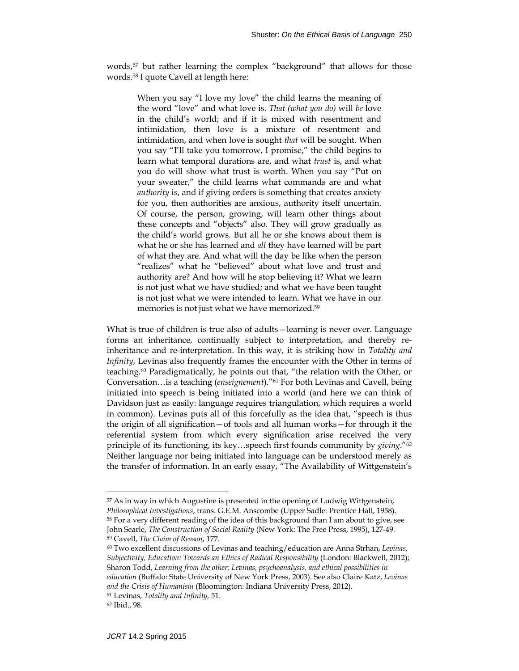words,<sup>57</sup> but rather learning the complex "background" that allows for those words.58 I quote Cavell at length here:

When you say "I love my love" the child learns the meaning of the word "love" and what love is. *That (what you do)* will *be* love in the child's world; and if it is mixed with resentment and intimidation, then love is a mixture of resentment and intimidation, and when love is sought *that* will be sought. When you say "I'll take you tomorrow, I promise," the child begins to learn what temporal durations are, and what *trust* is, and what you do will show what trust is worth. When you say "Put on your sweater," the child learns what commands are and what *authority* is, and if giving orders is something that creates anxiety for you, then authorities are anxious, authority itself uncertain. Of course, the person, growing, will learn other things about these concepts and "objects" also. They will grow gradually as the child's world grows. But all he or she knows about them is what he or she has learned and *all* they have learned will be part of what they are. And what will the day be like when the person "realizes" what he "believed" about what love and trust and authority are? And how will he stop believing it? What we learn is not just what we have studied; and what we have been taught is not just what we were intended to learn. What we have in our memories is not just what we have memorized.59

What is true of children is true also of adults—learning is never over. Language forms an inheritance, continually subject to interpretation, and thereby reinheritance and re-interpretation. In this way, it is striking how in *Totality and Infinity*, Levinas also frequently frames the encounter with the Other in terms of teaching.60 Paradigmatically, he points out that, "the relation with the Other, or Conversation…is a teaching (*enseignement*)."61 For both Levinas and Cavell, being initiated into speech is being initiated into a world (and here we can think of Davidson just as easily: language requires triangulation, which requires a world in common). Levinas puts all of this forcefully as the idea that, "speech is thus the origin of all signification—of tools and all human works—for through it the referential system from which every signification arise received the very principle of its functioning, its key…speech first founds community by *giving.*"62 Neither language nor being initiated into language can be understood merely as the transfer of information. In an early essay, "The Availability of Wittgenstein's

<sup>57</sup> As in way in which Augustine is presented in the opening of Ludwig Wittgenstein, *Philosophical Investigations*, trans. G.E.M. Anscombe (Upper Sadle: Prentice Hall, 1958). 58 For a very different reading of the idea of this background than I am about to give, see John Searle, *The Construction of Social Reality* (New York: The Free Press, 1995), 127-49. 59 Cavell, *The Claim of Reason*, 177.

<sup>60</sup> Two excellent discussions of Levinas and teaching/education are Anna Strhan, *Levinas, Subjectivity, Education: Towards an Ethics of Radical Responsibility* (London: Blackwell, 2012); Sharon Todd, *Learning from the other: Levinas, psychoanalysis, and ethical possibilities in education* (Buffalo: State University of New York Press, 2003). See also Claire Katz, *Levinas and the Crisis of Humanism* (Bloomington: Indiana University Press, 2012).

<sup>61</sup> Levinas, *Totality and Infinity,* 51.

<sup>62</sup> Ibid., 98.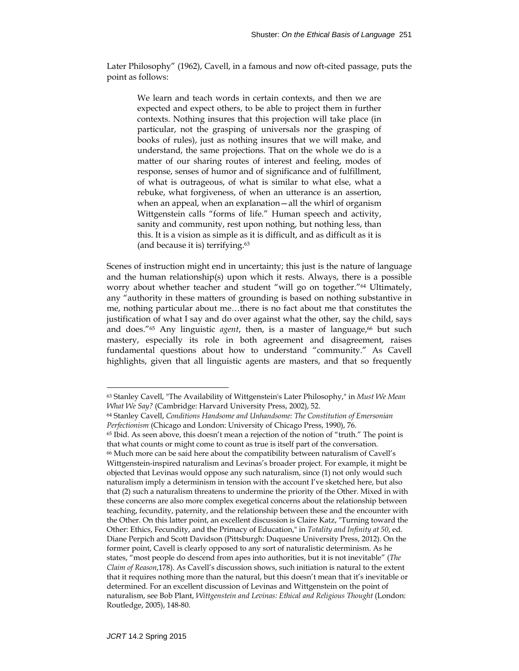Later Philosophy" (1962), Cavell, in a famous and now oft-cited passage, puts the point as follows:

> We learn and teach words in certain contexts, and then we are expected and expect others, to be able to project them in further contexts. Nothing insures that this projection will take place (in particular, not the grasping of universals nor the grasping of books of rules), just as nothing insures that we will make, and understand, the same projections. That on the whole we do is a matter of our sharing routes of interest and feeling, modes of response, senses of humor and of significance and of fulfillment, of what is outrageous, of what is similar to what else, what a rebuke, what forgiveness, of when an utterance is an assertion, when an appeal, when an explanation—all the whirl of organism Wittgenstein calls "forms of life." Human speech and activity, sanity and community, rest upon nothing, but nothing less, than this. It is a vision as simple as it is difficult, and as difficult as it is (and because it is) terrifying.63

Scenes of instruction might end in uncertainty; this just is the nature of language and the human relationship(s) upon which it rests. Always, there is a possible worry about whether teacher and student "will go on together."64 Ultimately, any "authority in these matters of grounding is based on nothing substantive in me, nothing particular about me…there is no fact about me that constitutes the justification of what I say and do over against what the other, say the child, says and does."<sup>65</sup> Any linguistic *agent*, then, is a master of language,<sup>66</sup> but such mastery, especially its role in both agreement and disagreement, raises fundamental questions about how to understand "community." As Cavell highlights, given that all linguistic agents are masters, and that so frequently

<sup>63</sup> Stanley Cavell, "The Availability of Wittgenstein's Later Philosophy," in *Must We Mean What We Say?* (Cambridge: Harvard University Press, 2002), 52.

<sup>64</sup> Stanley Cavell, *Conditions Handsome and Unhandsome: The Constitution of Emersonian Perfectionism* (Chicago and London: University of Chicago Press, 1990), 76. 65 Ibid. As seen above, this doesn't mean a rejection of the notion of "truth." The point is

that what counts or might come to count as true is itself part of the conversation. 66 Much more can be said here about the compatibility between naturalism of Cavell's Wittgenstein-inspired naturalism and Levinas's broader project. For example, it might be objected that Levinas would oppose any such naturalism, since (1) not only would such naturalism imply a determinism in tension with the account I've sketched here, but also that (2) such a naturalism threatens to undermine the priority of the Other. Mixed in with these concerns are also more complex exegetical concerns about the relationship between teaching, fecundity, paternity, and the relationship between these and the encounter with the Other. On this latter point, an excellent discussion is Claire Katz, "Turning toward the Other: Ethics, Fecundity, and the Primacy of Education," in *Totality and Infinity at 50*, ed. Diane Perpich and Scott Davidson (Pittsburgh: Duquesne University Press, 2012). On the former point, Cavell is clearly opposed to any sort of naturalistic determinism. As he states, "most people do descend from apes into authorities, but it is not inevitable" (*The Claim of Reason*,178). As Cavell's discussion shows, such initiation is natural to the extent that it requires nothing more than the natural, but this doesn't mean that it's inevitable or determined. For an excellent discussion of Levinas and Wittgenstein on the point of naturalism, see Bob Plant, *Wittgenstein and Levinas: Ethical and Religious Thought* (London: Routledge, 2005), 148-80.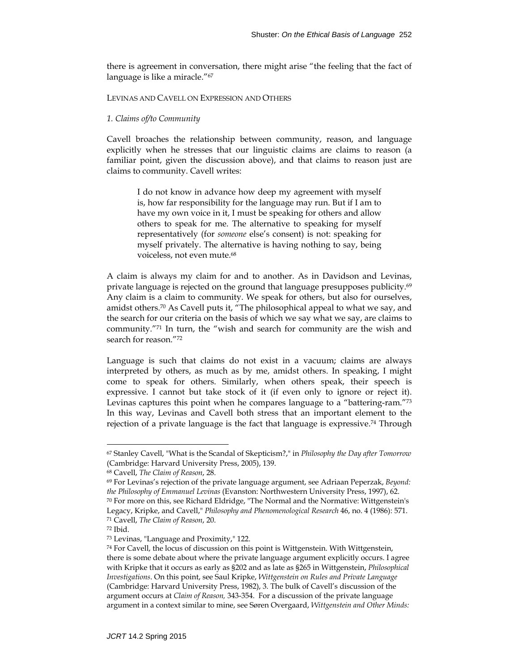there is agreement in conversation, there might arise "the feeling that the fact of language is like a miracle."<sup>67</sup>

# LEVINAS AND CAVELL ON EXPRESSION AND OTHERS

## *1. Claims of/to Community*

Cavell broaches the relationship between community, reason, and language explicitly when he stresses that our linguistic claims are claims to reason (a familiar point, given the discussion above), and that claims to reason just are claims to community. Cavell writes:

I do not know in advance how deep my agreement with myself is, how far responsibility for the language may run. But if I am to have my own voice in it, I must be speaking for others and allow others to speak for me. The alternative to speaking for myself representatively (for *someone* else's consent) is not: speaking for myself privately. The alternative is having nothing to say, being voiceless, not even mute.<sup>68</sup>

A claim is always my claim for and to another. As in Davidson and Levinas, private language is rejected on the ground that language presupposes publicity.<sup>69</sup> Any claim is a claim to community. We speak for others, but also for ourselves, amidst others.<sup>70</sup> As Cavell puts it, "The philosophical appeal to what we say, and the search for our criteria on the basis of which we say what we say, are claims to community."71 In turn, the "wish and search for community are the wish and search for reason."72

Language is such that claims do not exist in a vacuum; claims are always interpreted by others, as much as by me, amidst others. In speaking, I might come to speak for others. Similarly, when others speak, their speech is expressive. I cannot but take stock of it (if even only to ignore or reject it). Levinas captures this point when he compares language to a "battering-ram."73 In this way, Levinas and Cavell both stress that an important element to the rejection of a private language is the fact that language is expressive.<sup>74</sup> Through

<sup>67</sup> Stanley Cavell, "What is the Scandal of Skepticism?," in *Philosophy the Day after Tomorrow* (Cambridge: Harvard University Press, 2005), 139.

<sup>68</sup> Cavell, *The Claim of Reason*, 28.

<sup>69</sup> For Levinas's rejection of the private language argument, see Adriaan Peperzak, *Beyond: the Philosophy of Emmanuel Levinas* (Evanston: Northwestern University Press, 1997), 62.

<sup>70</sup> For more on this, see Richard Eldridge, "The Normal and the Normative: Wittgenstein's Legacy, Kripke, and Cavell," *Philosophy and Phenomenological Research* 46, no. 4 (1986): 571. 71 Cavell, *The Claim of Reason*, 20.

<sup>72</sup> Ibid.

<sup>73</sup> Levinas, "Language and Proximity," 122.

<sup>74</sup> For Cavell, the locus of discussion on this point is Wittgenstein. With Wittgenstein, there is some debate about where the private language argument explicitly occurs. I agree with Kripke that it occurs as early as §202 and as late as §265 in Wittgenstein, *Philosophical Investigations*. On this point, see Saul Kripke, *Wittgenstein on Rules and Private Language* (Cambridge: Harvard University Press, 1982), 3. The bulk of Cavell's discussion of the argument occurs at *Claim of Reason,* 343-354. For a discussion of the private language argument in a context similar to mine, see Søren Overgaard, *Wittgenstein and Other Minds:*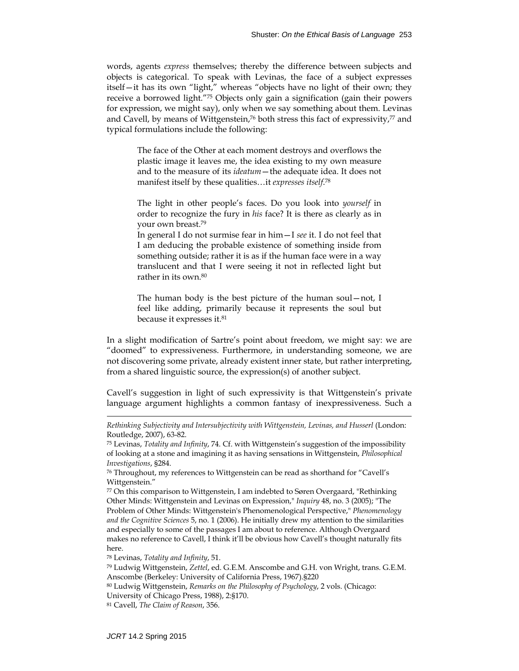words, agents *express* themselves; thereby the difference between subjects and objects is categorical. To speak with Levinas, the face of a subject expresses itself—it has its own "light," whereas "objects have no light of their own; they receive a borrowed light."75 Objects only gain a signification (gain their powers for expression, we might say), only when we say something about them. Levinas and Cavell, by means of Wittgenstein,<sup>76</sup> both stress this fact of expressivity,<sup>77</sup> and typical formulations include the following:

The face of the Other at each moment destroys and overflows the plastic image it leaves me, the idea existing to my own measure and to the measure of its *ideatum*—the adequate idea. It does not manifest itself by these qualities…it *expresses itself*.78

The light in other people's faces. Do you look into *yourself* in order to recognize the fury in *his* face? It is there as clearly as in your own breast.79

In general I do not surmise fear in him—I *see* it. I do not feel that I am deducing the probable existence of something inside from something outside; rather it is as if the human face were in a way translucent and that I were seeing it not in reflected light but rather in its own.80

The human body is the best picture of the human soul—not, I feel like adding, primarily because it represents the soul but because it expresses it.81

In a slight modification of Sartre's point about freedom, we might say: we are "doomed" to expressiveness. Furthermore, in understanding someone, we are not discovering some private, already existent inner state, but rather interpreting, from a shared linguistic source, the expression(s) of another subject.

Cavell's suggestion in light of such expressivity is that Wittgenstein's private language argument highlights a common fantasy of inexpressiveness. Such a

*Rethinking Subjectivity and Intersubjectivity with Wittgenstein, Levinas, and Husserl* (London: Routledge, 2007), 63-82.

<sup>75</sup> Levinas, *Totality and Infinity*, 74. Cf. with Wittgenstein's suggestion of the impossibility of looking at a stone and imagining it as having sensations in Wittgenstein, *Philosophical Investigations*, §284.

<sup>76</sup> Throughout, my references to Wittgenstein can be read as shorthand for "Cavell's Wittgenstein."

<sup>77</sup> On this comparison to Wittgenstein, I am indebted to Søren Overgaard, "Rethinking Other Minds: Wittgenstein and Levinas on Expression," *Inquiry* 48, no. 3 (2005); "The Problem of Other Minds: Wittgenstein's Phenomenological Perspective," *Phenomenology and the Cognitive Sciences* 5, no. 1 (2006). He initially drew my attention to the similarities and especially to some of the passages I am about to reference. Although Overgaard makes no reference to Cavell, I think it'll be obvious how Cavell's thought naturally fits here.

<sup>78</sup> Levinas, *Totality and Infinity*, 51.

<sup>79</sup> Ludwig Wittgenstein, *Zettel*, ed. G.E.M. Anscombe and G.H. von Wright, trans. G.E.M. Anscombe (Berkeley: University of California Press, 1967).§220

<sup>80</sup> Ludwig Wittgenstein, *Remarks on the Philosophy of Psychology*, 2 vols. (Chicago: University of Chicago Press, 1988), 2:§170.

<sup>81</sup> Cavell, *The Claim of Reason*, 356.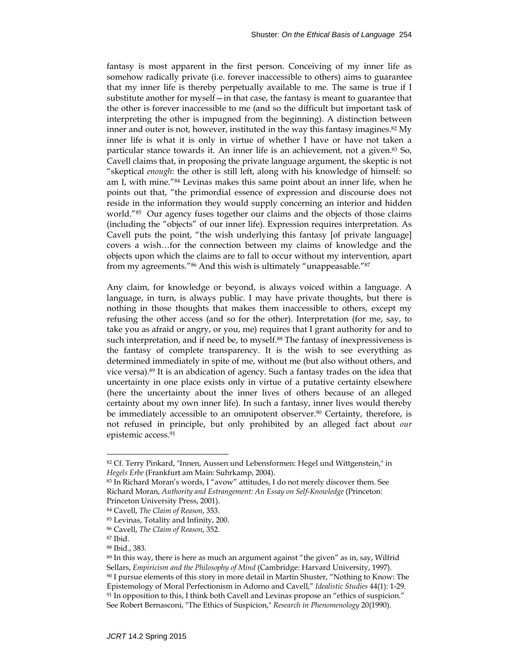fantasy is most apparent in the first person. Conceiving of my inner life as somehow radically private (i.e. forever inaccessible to others) aims to guarantee that my inner life is thereby perpetually available to me. The same is true if I substitute another for myself—in that case, the fantasy is meant to guarantee that the other is forever inaccessible to me (and so the difficult but important task of interpreting the other is impugned from the beginning). A distinction between inner and outer is not, however, instituted in the way this fantasy imagines.<sup>82</sup> My inner life is what it is only in virtue of whether I have or have not taken a particular stance towards it. An inner life is an achievement, not a given.<sup>83</sup> So, Cavell claims that, in proposing the private language argument, the skeptic is not "skeptical *enough*: the other is still left, along with his knowledge of himself: so am I, with mine."84 Levinas makes this same point about an inner life, when he points out that, "the primordial essence of expression and discourse does not reside in the information they would supply concerning an interior and hidden world."85 Our agency fuses together our claims and the objects of those claims (including the "objects" of our inner life). Expression requires interpretation. As Cavell puts the point, "the wish underlying this fantasy [of private language] covers a wish…for the connection between my claims of knowledge and the objects upon which the claims are to fall to occur without my intervention, apart from my agreements."86 And this wish is ultimately "unappeasable."87

Any claim, for knowledge or beyond, is always voiced within a language. A language, in turn, is always public. I may have private thoughts, but there is nothing in those thoughts that makes them inaccessible to others, except my refusing the other access (and so for the other). Interpretation (for me, say, to take you as afraid or angry, or you, me) requires that I grant authority for and to such interpretation, and if need be, to myself.<sup>88</sup> The fantasy of inexpressiveness is the fantasy of complete transparency. It is the wish to see everything as determined immediately in spite of me, without me (but also without others, and vice versa).89 It is an abdication of agency. Such a fantasy trades on the idea that uncertainty in one place exists only in virtue of a putative certainty elsewhere (here the uncertainty about the inner lives of others because of an alleged certainty about my own inner life). In such a fantasy, inner lives would thereby be immediately accessible to an omnipotent observer.<sup>90</sup> Certainty, therefore, is not refused in principle, but only prohibited by an alleged fact about *our* epistemic access.91

<sup>82</sup> Cf. Terry Pinkard, "Innen, Aussen und Lebensformen: Hegel und Wittgenstein," in *Hegels Erbe* (Frankfurt am Main: Suhrkamp, 2004).

<sup>83</sup> In Richard Moran's words, I "avow" attitudes, I do not merely discover them. See Richard Moran, *Authority and Estrangement: An Essay on Self-Knowledge* (Princeton: Princeton University Press, 2001).

<sup>84</sup> Cavell, *The Claim of Reason*, 353.

<sup>85</sup> Levinas, Totality and Infinity, 200.

<sup>86</sup> Cavell, *The Claim of Reason*, 352.

<sup>87</sup> Ibid.

<sup>88</sup> Ibid., 383.

<sup>89</sup> In this way, there is here as much an argument against "the given" as in, say, Wilfrid Sellars, *Empiricism and the Philosophy of Mind* (Cambridge: Harvard University, 1997). 90 I pursue elements of this story in more detail in Martin Shuster, "Nothing to Know: The Epistemology of Moral Perfectionism in Adorno and Cavell," *Idealistic Studies* 44(1): 1-29. 91 In opposition to this, I think both Cavell and Levinas propose an "ethics of suspicion." See Robert Bernasconi, "The Ethics of Suspicion," *Research in Phenomenology* 20(1990).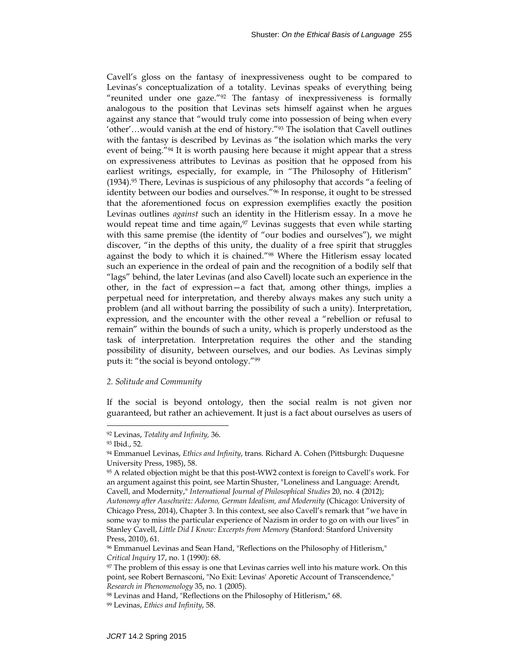Cavell's gloss on the fantasy of inexpressiveness ought to be compared to Levinas's conceptualization of a totality. Levinas speaks of everything being "reunited under one gaze."<sup>92</sup> The fantasy of inexpressiveness is formally analogous to the position that Levinas sets himself against when he argues against any stance that "would truly come into possession of being when every 'other'…would vanish at the end of history."93 The isolation that Cavell outlines with the fantasy is described by Levinas as "the isolation which marks the very event of being."94 It is worth pausing here because it might appear that a stress on expressiveness attributes to Levinas as position that he opposed from his earliest writings, especially, for example, in "The Philosophy of Hitlerism"  $(1934).$ <sup>95</sup> There, Levinas is suspicious of any philosophy that accords "a feeling of identity between our bodies and ourselves."96 In response, it ought to be stressed that the aforementioned focus on expression exemplifies exactly the position Levinas outlines *against* such an identity in the Hitlerism essay. In a move he would repeat time and time again,<sup>97</sup> Levinas suggests that even while starting with this same premise (the identity of "our bodies and ourselves"), we might discover, "in the depths of this unity, the duality of a free spirit that struggles against the body to which it is chained."98 Where the Hitlerism essay located such an experience in the ordeal of pain and the recognition of a bodily self that "lags" behind, the later Levinas (and also Cavell) locate such an experience in the other, in the fact of expression—a fact that, among other things, implies a perpetual need for interpretation, and thereby always makes any such unity a problem (and all without barring the possibility of such a unity). Interpretation, expression, and the encounter with the other reveal a "rebellion or refusal to remain" within the bounds of such a unity, which is properly understood as the task of interpretation. Interpretation requires the other and the standing possibility of disunity, between ourselves, and our bodies. As Levinas simply puts it: "the social is beyond ontology."99

## *2. Solitude and Community*

If the social is beyond ontology, then the social realm is not given nor guaranteed, but rather an achievement. It just is a fact about ourselves as users of

<sup>92</sup> Levinas, *Totality and Infinity,* 36.

<sup>93</sup> Ibid., 52.

<sup>94</sup> Emmanuel Levinas, *Ethics and Infinity*, trans. Richard A. Cohen (Pittsburgh: Duquesne University Press, 1985), 58.

<sup>95</sup> A related objection might be that this post-WW2 context is foreign to Cavell's work. For an argument against this point, see Martin Shuster, "Loneliness and Language: Arendt, Cavell, and Modernity," *International Journal of Philosophical Studies* 20, no. 4 (2012);

*Autonomy after Auschwitz: Adorno, German Idealism, and Modernity* (Chicago: University of Chicago Press, 2014), Chapter 3. In this context, see also Cavell's remark that "we have in some way to miss the particular experience of Nazism in order to go on with our lives" in Stanley Cavell, *Little Did I Know: Excerpts from Memory* (Stanford: Stanford University Press, 2010), 61.

<sup>96</sup> Emmanuel Levinas and Sean Hand, "Reflections on the Philosophy of Hitlerism," *Critical Inquiry* 17, no. 1 (1990): 68.

<sup>97</sup> The problem of this essay is one that Levinas carries well into his mature work. On this point, see Robert Bernasconi, "No Exit: Levinas' Aporetic Account of Transcendence," *Research in Phenomenology* 35, no. 1 (2005).

<sup>98</sup> Levinas and Hand, "Reflections on the Philosophy of Hitlerism," 68.

<sup>99</sup> Levinas, *Ethics and Infinity*, 58.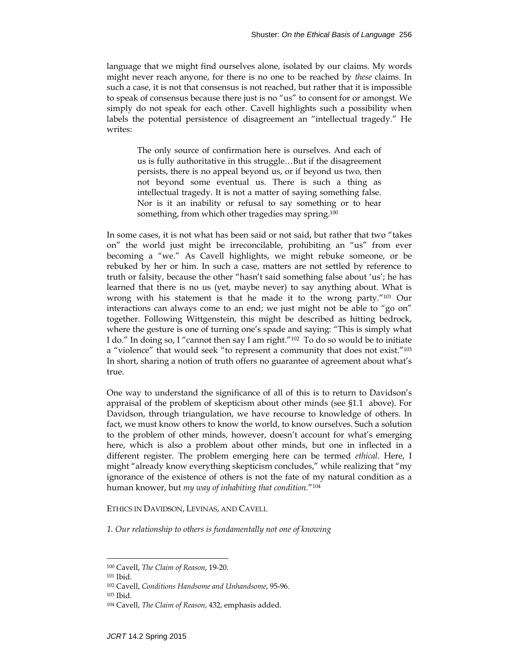language that we might find ourselves alone, isolated by our claims. My words might never reach anyone, for there is no one to be reached by *these* claims. In such a case, it is not that consensus is not reached, but rather that it is impossible to speak of consensus because there just is no "us" to consent for or amongst. We simply do not speak for each other. Cavell highlights such a possibility when labels the potential persistence of disagreement an "intellectual tragedy." He writes:

The only source of confirmation here is ourselves. And each of us is fully authoritative in this struggle…But if the disagreement persists, there is no appeal beyond us, or if beyond us two, then not beyond some eventual us. There is such a thing as intellectual tragedy. It is not a matter of saying something false. Nor is it an inability or refusal to say something or to hear something, from which other tragedies may spring.100

In some cases, it is not what has been said or not said, but rather that two "takes on" the world just might be irreconcilable, prohibiting an "us" from ever becoming a "we." As Cavell highlights, we might rebuke someone, or be rebuked by her or him. In such a case, matters are not settled by reference to truth or falsity, because the other "hasn't said something false about 'us'; he has learned that there is no us (yet, maybe never) to say anything about. What is wrong with his statement is that he made it to the wrong party."<sup>101</sup> Our interactions can always come to an end; we just might not be able to "go on" together. Following Wittgenstein, this might be described as hitting bedrock, where the gesture is one of turning one's spade and saying: "This is simply what I do." In doing so, I "cannot then say I am right."<sup>102</sup> To do so would be to initiate a "violence" that would seek "to represent a community that does not exist."103 In short, sharing a notion of truth offers no guarantee of agreement about what's true.

One way to understand the significance of all of this is to return to Davidson's appraisal of the problem of skepticism about other minds (see §1.1 above). For Davidson, through triangulation, we have recourse to knowledge of others. In fact, we must know others to know the world, to know ourselves. Such a solution to the problem of other minds, however, doesn't account for what's emerging here, which is also a problem about other minds, but one in inflected in a different register. The problem emerging here can be termed *ethical*. Here, I might "already know everything skepticism concludes," while realizing that "my ignorance of the existence of others is not the fate of my natural condition as a human knower, but *my way of inhabiting that condition.*"104

ETHICS IN DAVIDSON, LEVINAS, AND CAVELL

*1. Our relationship to others is fundamentally not one of knowing* 

<sup>100</sup> Cavell, *The Claim of Reason*, 19-20.

<sup>101</sup> Ibid.

<sup>102</sup> Cavell, *Conditions Handsome and Unhandsome*, 95-96.

<sup>103</sup> Ibid.

<sup>104</sup> Cavell, *The Claim of Reason*, 432, emphasis added.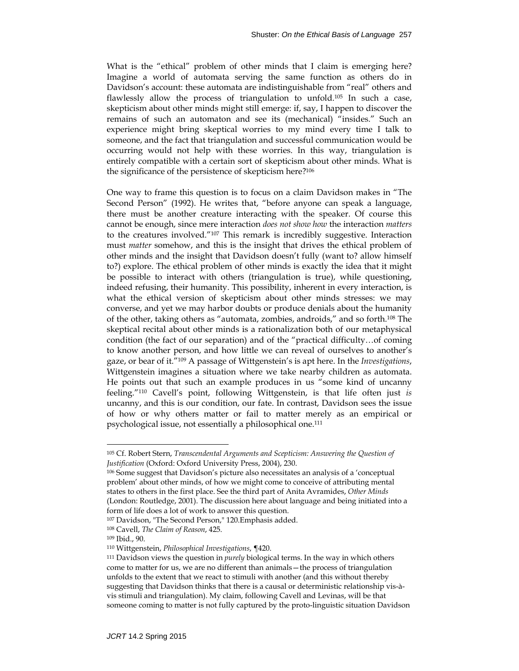What is the "ethical" problem of other minds that I claim is emerging here? Imagine a world of automata serving the same function as others do in Davidson's account: these automata are indistinguishable from "real" others and flawlessly allow the process of triangulation to unfold.105 In such a case, skepticism about other minds might still emerge: if, say, I happen to discover the remains of such an automaton and see its (mechanical) "insides." Such an experience might bring skeptical worries to my mind every time I talk to someone, and the fact that triangulation and successful communication would be occurring would not help with these worries. In this way, triangulation is entirely compatible with a certain sort of skepticism about other minds. What is the significance of the persistence of skepticism here?<sup>106</sup>

One way to frame this question is to focus on a claim Davidson makes in "The Second Person" (1992). He writes that, "before anyone can speak a language, there must be another creature interacting with the speaker. Of course this cannot be enough, since mere interaction *does not show how* the interaction *matters* to the creatures involved."107 This remark is incredibly suggestive. Interaction must *matter* somehow, and this is the insight that drives the ethical problem of other minds and the insight that Davidson doesn't fully (want to? allow himself to?) explore. The ethical problem of other minds is exactly the idea that it might be possible to interact with others (triangulation is true), while questioning, indeed refusing, their humanity. This possibility, inherent in every interaction, is what the ethical version of skepticism about other minds stresses: we may converse, and yet we may harbor doubts or produce denials about the humanity of the other, taking others as "automata, zombies, androids," and so forth.108 The skeptical recital about other minds is a rationalization both of our metaphysical condition (the fact of our separation) and of the "practical difficulty…of coming to know another person, and how little we can reveal of ourselves to another's gaze, or bear of it."109 A passage of Wittgenstein's is apt here. In the *Investigations*, Wittgenstein imagines a situation where we take nearby children as automata. He points out that such an example produces in us "some kind of uncanny feeling."110 Cavell's point, following Wittgenstein, is that life often just *is* uncanny, and this is our condition, our fate. In contrast, Davidson sees the issue of how or why others matter or fail to matter merely as an empirical or psychological issue, not essentially a philosophical one.111

<sup>105</sup> Cf. Robert Stern, *Transcendental Arguments and Scepticism: Answering the Question of Justification* (Oxford: Oxford University Press, 2004), 230.

<sup>106</sup> Some suggest that Davidson's picture also necessitates an analysis of a 'conceptual problem' about other minds, of how we might come to conceive of attributing mental states to others in the first place. See the third part of Anita Avramides, *Other Minds* (London: Routledge, 2001). The discussion here about language and being initiated into a form of life does a lot of work to answer this question.

<sup>107</sup> Davidson, "The Second Person," 120.Emphasis added.

<sup>108</sup> Cavell, *The Claim of Reason*, 425.

<sup>109</sup> Ibid., 90.

<sup>110</sup> Wittgenstein, *Philosophical Investigations*, ¶420.

<sup>111</sup> Davidson views the question in *purely* biological terms. In the way in which others come to matter for us, we are no different than animals—the process of triangulation unfolds to the extent that we react to stimuli with another (and this without thereby suggesting that Davidson thinks that there is a causal or deterministic relationship vis-àvis stimuli and triangulation). My claim, following Cavell and Levinas, will be that someone coming to matter is not fully captured by the proto-linguistic situation Davidson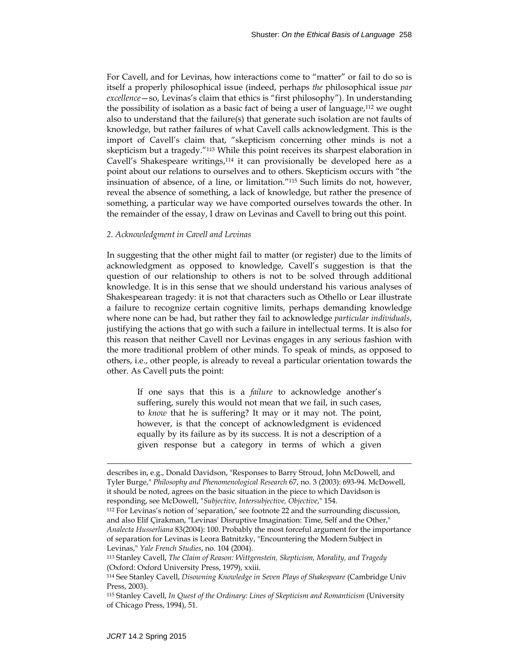For Cavell, and for Levinas, how interactions come to "matter" or fail to do so is itself a properly philosophical issue (indeed, perhaps *the* philosophical issue *par excellence*—so, Levinas's claim that ethics is "first philosophy"). In understanding the possibility of isolation as a basic fact of being a user of language,<sup>112</sup> we ought also to understand that the failure(s) that generate such isolation are not faults of knowledge, but rather failures of what Cavell calls acknowledgment. This is the import of Cavell's claim that, "skepticism concerning other minds is not a skepticism but a tragedy."113 While this point receives its sharpest elaboration in Cavell's Shakespeare writings, $114$  it can provisionally be developed here as a point about our relations to ourselves and to others. Skepticism occurs with "the insinuation of absence, of a line, or limitation."115 Such limits do not, however, reveal the absence of something, a lack of knowledge, but rather the presence of something, a particular way we have comported ourselves towards the other. In the remainder of the essay, I draw on Levinas and Cavell to bring out this point.

### *2. Acknowledgment in Cavell and Levinas*

In suggesting that the other might fail to matter (or register) due to the limits of acknowledgment as opposed to knowledge, Cavell's suggestion is that the question of our relationship to others is not to be solved through additional knowledge. It is in this sense that we should understand his various analyses of Shakespearean tragedy: it is not that characters such as Othello or Lear illustrate a failure to recognize certain cognitive limits, perhaps demanding knowledge where none can be had, but rather they fail to acknowledge *particular individuals*, justifying the actions that go with such a failure in intellectual terms. It is also for this reason that neither Cavell nor Levinas engages in any serious fashion with the more traditional problem of other minds. To speak of minds, as opposed to others, i.e., other people, is already to reveal a particular orientation towards the other. As Cavell puts the point:

If one says that this is a *failure* to acknowledge another's suffering, surely this would not mean that we fail, in such cases, to *know* that he is suffering? It may or it may not. The point, however, is that the concept of acknowledgment is evidenced equally by its failure as by its success. It is not a description of a given response but a category in terms of which a given

describes in, e.g., Donald Davidson, "Responses to Barry Stroud, John McDowell, and Tyler Burge," *Philosophy and Phenomenological Research* 67, no. 3 (2003): 693-94. McDowell, it should be noted, agrees on the basic situation in the piece to which Davidson is responding, see McDowell, "*Subjective, Intersubjective, Objective*," 154.

<sup>112</sup> For Levinas's notion of 'separation,' see footnote 22 and the surrounding discussion, and also Elif Çirakman, "Levinas' Disruptive Imagination: Time, Self and the Other," *Analecta Husserliana* 83(2004): 100. Probably the most forceful argument for the importance of separation for Levinas is Leora Batnitzky, "Encountering the Modern Subject in Levinas," *Yale French Studies*, no. 104 (2004).

<sup>113</sup> Stanley Cavell, *The Claim of Reason: Wittgenstein, Skepticism, Morality, and Tragedy* (Oxford: Oxford University Press, 1979), xxiii.

<sup>114</sup> See Stanley Cavell, *Disowning Knowledge in Seven Plays of Shakespeare* (Cambridge Univ Press, 2003).

<sup>115</sup> Stanley Cavell, *In Quest of the Ordinary: Lines of Skepticism and Romanticism* (University of Chicago Press, 1994), 51.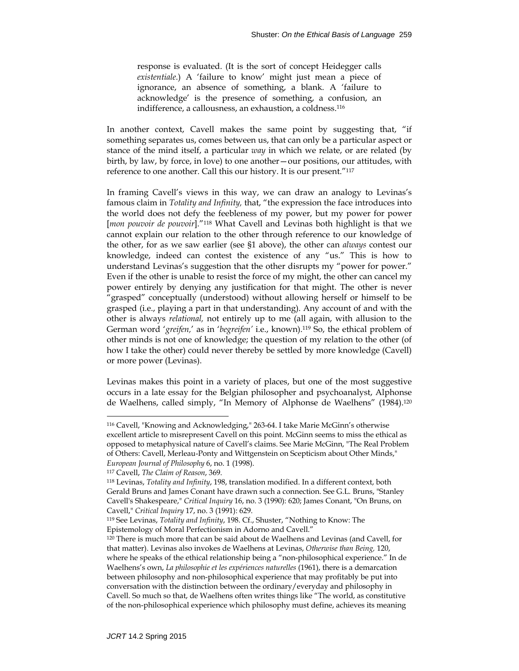response is evaluated. (It is the sort of concept Heidegger calls *existentiale*.) A 'failure to know' might just mean a piece of ignorance, an absence of something, a blank. A 'failure to acknowledge' is the presence of something, a confusion, an indifference, a callousness, an exhaustion, a coldness.<sup>116</sup>

In another context, Cavell makes the same point by suggesting that, "if something separates us, comes between us, that can only be a particular aspect or stance of the mind itself, a particular *way* in which we relate, or are related (by birth, by law, by force, in love) to one another—our positions, our attitudes, with reference to one another. Call this our history. It is our present."117

In framing Cavell's views in this way, we can draw an analogy to Levinas's famous claim in *Totality and Infinity,* that, "the expression the face introduces into the world does not defy the feebleness of my power, but my power for power [*mon pouvoir de pouvoir*]."118 What Cavell and Levinas both highlight is that we cannot explain our relation to the other through reference to our knowledge of the other, for as we saw earlier (see §1 above), the other can *always* contest our knowledge, indeed can contest the existence of any "us." This is how to understand Levinas's suggestion that the other disrupts my "power for power." Even if the other is unable to resist the force of my might, the other can cancel my power entirely by denying any justification for that might. The other is never "grasped" conceptually (understood) without allowing herself or himself to be grasped (i.e., playing a part in that understanding). Any account of and with the other is always *relational,* not entirely up to me (all again, with allusion to the German word '*greifen,*' as in '*begreifen'* i.e., known).119 So, the ethical problem of other minds is not one of knowledge; the question of my relation to the other (of how I take the other) could never thereby be settled by more knowledge (Cavell) or more power (Levinas).

Levinas makes this point in a variety of places, but one of the most suggestive occurs in a late essay for the Belgian philosopher and psychoanalyst, Alphonse de Waelhens, called simply, "In Memory of Alphonse de Waelhens" (1984).<sup>120</sup>

<sup>116</sup> Cavell, "Knowing and Acknowledging," 263-64. I take Marie McGinn's otherwise excellent article to misrepresent Cavell on this point. McGinn seems to miss the ethical as opposed to metaphysical nature of Cavell's claims. See Marie McGinn, "The Real Problem of Others: Cavell, Merleau-Ponty and Wittgenstein on Scepticism about Other Minds," *European Journal of Philosophy* 6, no. 1 (1998).

<sup>117</sup> Cavell, *The Claim of Reason*, 369.

<sup>118</sup> Levinas, *Totality and Infinity*, 198, translation modified. In a different context, both Gerald Bruns and James Conant have drawn such a connection. See G.L. Bruns, "Stanley Cavell's Shakespeare," *Critical Inquiry* 16, no. 3 (1990): 620; James Conant, "On Bruns, on Cavell," *Critical Inquiry* 17, no. 3 (1991): 629.

<sup>119</sup> See Levinas, *Totality and Infinity*, 198. Cf., Shuster, "Nothing to Know: The Epistemology of Moral Perfectionism in Adorno and Cavell."

<sup>120</sup> There is much more that can be said about de Waelhens and Levinas (and Cavell, for that matter). Levinas also invokes de Waelhens at Levinas, *Otherwise than Being,* 120, where he speaks of the ethical relationship being a "non-philosophical experience." In de Waelhens's own, *La philosophie et les expériences naturelles* (1961), there is a demarcation between philosophy and non-philosophical experience that may profitably be put into conversation with the distinction between the ordinary/everyday and philosophy in Cavell. So much so that, de Waelhens often writes things like "The world, as constitutive of the non-philosophical experience which philosophy must define, achieves its meaning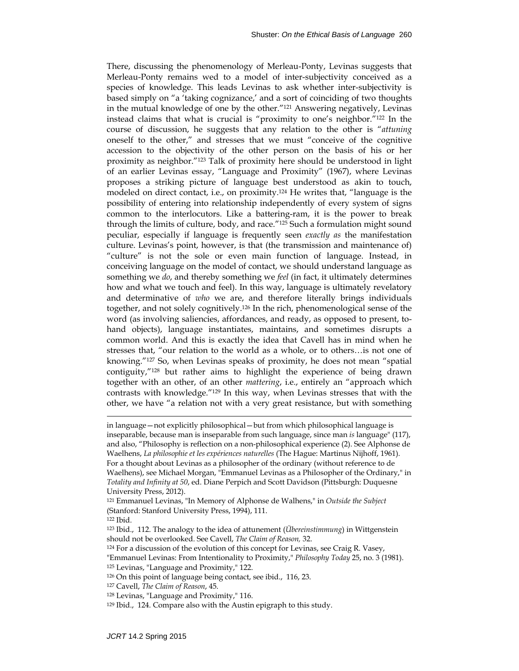There, discussing the phenomenology of Merleau-Ponty, Levinas suggests that Merleau-Ponty remains wed to a model of inter-subjectivity conceived as a species of knowledge. This leads Levinas to ask whether inter-subjectivity is based simply on "a 'taking cognizance,' and a sort of coinciding of two thoughts in the mutual knowledge of one by the other."121 Answering negatively, Levinas instead claims that what is crucial is "proximity to one's neighbor."122 In the course of discussion, he suggests that any relation to the other is "*attuning* oneself to the other," and stresses that we must "conceive of the cognitive accession to the objectivity of the other person on the basis of his or her proximity as neighbor."123 Talk of proximity here should be understood in light of an earlier Levinas essay, "Language and Proximity" (1967), where Levinas proposes a striking picture of language best understood as akin to touch, modeled on direct contact, i.e., on proximity.124 He writes that, "language is the possibility of entering into relationship independently of every system of signs common to the interlocutors. Like a battering-ram, it is the power to break through the limits of culture, body, and race."125 Such a formulation might sound peculiar, especially if language is frequently seen *exactly as* the manifestation culture. Levinas's point, however, is that (the transmission and maintenance of) "culture" is not the sole or even main function of language. Instead, in conceiving language on the model of contact, we should understand language as something we *do*, and thereby something we *feel* (in fact, it ultimately determines how and what we touch and feel). In this way, language is ultimately revelatory and determinative of *who* we are, and therefore literally brings individuals together, and not solely cognitively.126 In the rich, phenomenological sense of the word (as involving saliencies, affordances, and ready, as opposed to present, tohand objects), language instantiates, maintains, and sometimes disrupts a common world. And this is exactly the idea that Cavell has in mind when he stresses that, "our relation to the world as a whole, or to others…is not one of knowing."127 So, when Levinas speaks of proximity, he does not mean "spatial contiguity,"128 but rather aims to highlight the experience of being drawn together with an other, of an other *mattering*, i.e., entirely an "approach which contrasts with knowledge."129 In this way, when Levinas stresses that with the other, we have "a relation not with a very great resistance, but with something

122 Ibid.

- 123 Ibid., 112. The analogy to the idea of attunement (*Übereinstimmung*) in Wittgenstein should not be overlooked. See Cavell, *The Claim of Reason,* 32.
- 124 For a discussion of the evolution of this concept for Levinas, see Craig R. Vasey,
- "Emmanuel Levinas: From Intentionality to Proximity," *Philosophy Today* 25, no. 3 (1981).
- 125 Levinas, "Language and Proximity," 122.
- 126 On this point of language being contact, see ibid., 116, 23.
- 127 Cavell, *The Claim of Reason*, 45.
- 128 Levinas, "Language and Proximity," 116.
- 129 Ibid., 124. Compare also with the Austin epigraph to this study.

in language—not explicitly philosophical—but from which philosophical language is inseparable, because man is inseparable from such language, since man *is* language" (117), and also, "Philosophy is reflection on a non-philosophical experience (2). See Alphonse de Waelhens, *La philosophie et les expériences naturelles* (The Hague: Martinus Nijhoff, 1961). For a thought about Levinas as a philosopher of the ordinary (without reference to de Waelhens), see Michael Morgan, "Emmanuel Levinas as a Philosopher of the Ordinary," in *Totality and Infinity at 50*, ed. Diane Perpich and Scott Davidson (Pittsburgh: Duquesne University Press, 2012).

<sup>121</sup> Emmanuel Levinas, "In Memory of Alphonse de Walhens," in *Outside the Subject* (Stanford: Stanford University Press, 1994), 111.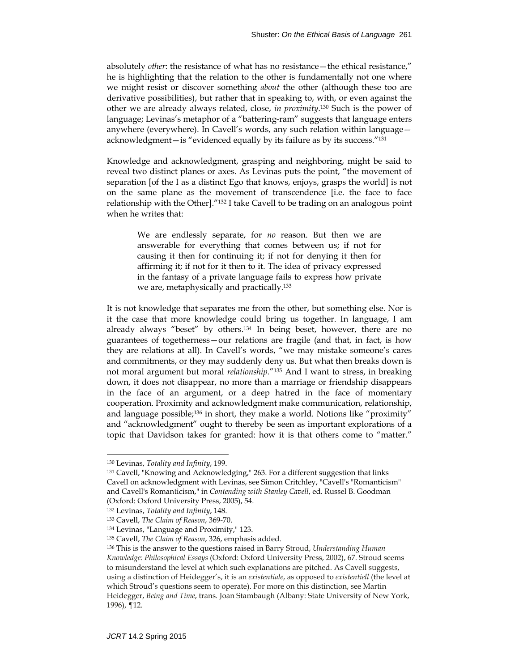absolutely *other*: the resistance of what has no resistance—the ethical resistance," he is highlighting that the relation to the other is fundamentally not one where we might resist or discover something *about* the other (although these too are derivative possibilities), but rather that in speaking to, with, or even against the other we are already always related, close, *in proximity*. 130 Such is the power of language; Levinas's metaphor of a "battering-ram" suggests that language enters anywhere (everywhere). In Cavell's words, any such relation within language acknowledgment—is "evidenced equally by its failure as by its success."131

Knowledge and acknowledgment, grasping and neighboring, might be said to reveal two distinct planes or axes. As Levinas puts the point, "the movement of separation [of the I as a distinct Ego that knows, enjoys, grasps the world] is not on the same plane as the movement of transcendence [i.e. the face to face relationship with the Other]."132 I take Cavell to be trading on an analogous point when he writes that:

We are endlessly separate, for *no* reason. But then we are answerable for everything that comes between us; if not for causing it then for continuing it; if not for denying it then for affirming it; if not for it then to it. The idea of privacy expressed in the fantasy of a private language fails to express how private we are, metaphysically and practically.133

It is not knowledge that separates me from the other, but something else. Nor is it the case that more knowledge could bring us together. In language, I am already always "beset" by others.134 In being beset, however, there are no guarantees of togetherness—our relations are fragile (and that, in fact, is how they are relations at all). In Cavell's words, "we may mistake someone's cares and commitments, or they may suddenly deny us. But what then breaks down is not moral argument but moral *relationship.*"135 And I want to stress, in breaking down, it does not disappear, no more than a marriage or friendship disappears in the face of an argument, or a deep hatred in the face of momentary cooperation. Proximity and acknowledgment make communication, relationship, and language possible;<sup>136</sup> in short, they make a world. Notions like "proximity" and "acknowledgment" ought to thereby be seen as important explorations of a topic that Davidson takes for granted: how it is that others come to "matter."

<sup>130</sup> Levinas, *Totality and Infinity*, 199.

<sup>131</sup> Cavell, "Knowing and Acknowledging," 263. For a different suggestion that links Cavell on acknowledgment with Levinas, see Simon Critchley, "Cavell's "Romanticism" and Cavell's Romanticism," in *Contending with Stanley Cavell*, ed. Russel B. Goodman (Oxford: Oxford University Press, 2005), 54.

<sup>132</sup> Levinas, *Totality and Infinity*, 148.

<sup>133</sup> Cavell, *The Claim of Reason*, 369-70.

<sup>134</sup> Levinas, "Language and Proximity," 123.

<sup>135</sup> Cavell, *The Claim of Reason*, 326, emphasis added.

<sup>136</sup> This is the answer to the questions raised in Barry Stroud, *Understanding Human Knowledge: Philosophical Essays* (Oxford: Oxford University Press, 2002), 67. Stroud seems to misunderstand the level at which such explanations are pitched. As Cavell suggests, using a distinction of Heidegger's, it is an *existentiale*, as opposed to *existentiell* (the level at which Stroud's questions seem to operate). For more on this distinction, see Martin Heidegger, *Being and Time*, trans. Joan Stambaugh (Albany: State University of New York, 1996), ¶12.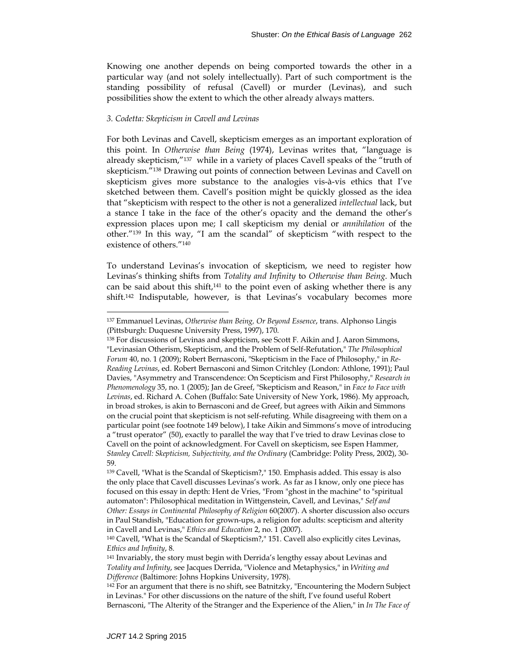Knowing one another depends on being comported towards the other in a particular way (and not solely intellectually). Part of such comportment is the standing possibility of refusal (Cavell) or murder (Levinas), and such possibilities show the extent to which the other already always matters.

### *3. Codetta: Skepticism in Cavell and Levinas*

For both Levinas and Cavell, skepticism emerges as an important exploration of this point. In *Otherwise than Being* (1974), Levinas writes that, "language is already skepticism,"137 while in a variety of places Cavell speaks of the "truth of skepticism."138 Drawing out points of connection between Levinas and Cavell on skepticism gives more substance to the analogies vis-à-vis ethics that I've sketched between them. Cavell's position might be quickly glossed as the idea that "skepticism with respect to the other is not a generalized *intellectual* lack, but a stance I take in the face of the other's opacity and the demand the other's expression places upon me; I call skepticism my denial or *annihilation* of the other."139 In this way, "I am the scandal" of skepticism "with respect to the existence of others."140

To understand Levinas's invocation of skepticism, we need to register how Levinas's thinking shifts from *Totality and Infinity* to *Otherwise than Being*. Much can be said about this shift,<sup>141</sup> to the point even of asking whether there is any shift.142 Indisputable, however, is that Levinas's vocabulary becomes more

<sup>137</sup> Emmanuel Levinas, *Otherwise than Being, Or Beyond Essence*, trans. Alphonso Lingis (Pittsburgh: Duquesne University Press, 1997), 170.

<sup>138</sup> For discussions of Levinas and skepticism, see Scott F. Aikin and J. Aaron Simmons, "Levinasian Otherism, Skepticism, and the Problem of Self-Refutation," *The Philosophical Forum* 40, no. 1 (2009); Robert Bernasconi, "Skepticism in the Face of Philosophy," in *Re-Reading Levinas*, ed. Robert Bernasconi and Simon Critchley (London: Athlone, 1991); Paul Davies, "Asymmetry and Transcendence: On Scepticism and First Philosophy," *Research in Phenomenology* 35, no. 1 (2005); Jan de Greef, "Skepticism and Reason," in *Face to Face with Levinas*, ed. Richard A. Cohen (Buffalo: Sate University of New York, 1986). My approach, in broad strokes, is akin to Bernasconi and de Greef, but agrees with Aikin and Simmons on the crucial point that skepticism is not self-refuting. While disagreeing with them on a particular point (see footnote 149 below), I take Aikin and Simmons's move of introducing a "trust operator" (50), exactly to parallel the way that I've tried to draw Levinas close to Cavell on the point of acknowledgment. For Cavell on skepticism, see Espen Hammer, *Stanley Cavell: Skepticism, Subjectivity, and the Ordinary* (Cambridge: Polity Press, 2002), 30- 59.

<sup>139</sup> Cavell, "What is the Scandal of Skepticism?," 150. Emphasis added. This essay is also the only place that Cavell discusses Levinas's work. As far as I know, only one piece has focused on this essay in depth: Hent de Vries, "From "ghost in the machine" to "spiritual automaton": Philosophical meditation in Wittgenstein, Cavell, and Levinas," *Self and Other: Essays in Continental Philosophy of Religion* 60(2007). A shorter discussion also occurs in Paul Standish, "Education for grown-ups, a religion for adults: scepticism and alterity in Cavell and Levinas," *Ethics and Education* 2, no. 1 (2007).

<sup>140</sup> Cavell, "What is the Scandal of Skepticism?," 151. Cavell also explicitly cites Levinas, *Ethics and Infinity*, 8.

<sup>141</sup> Invariably, the story must begin with Derrida's lengthy essay about Levinas and *Totality and Infinity*, see Jacques Derrida, "Violence and Metaphysics," in *Writing and Difference* (Baltimore: Johns Hopkins University, 1978).

<sup>&</sup>lt;sup>142</sup> For an argument that there is no shift, see Batnitzky, "Encountering the Modern Subject in Levinas." For other discussions on the nature of the shift, I've found useful Robert Bernasconi, "The Alterity of the Stranger and the Experience of the Alien," in *In The Face of*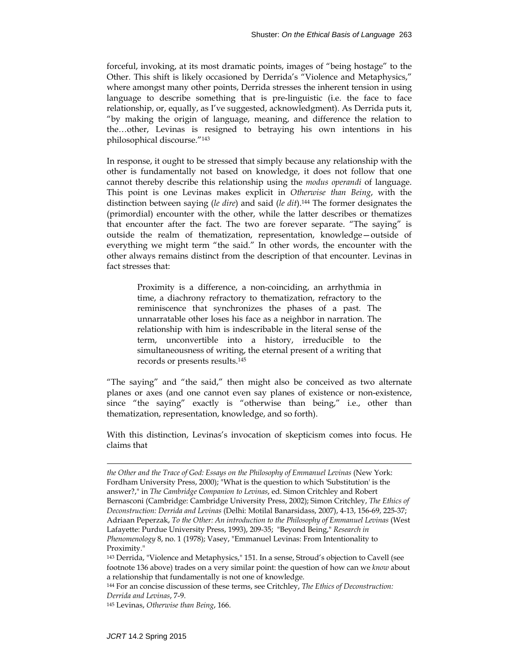forceful, invoking, at its most dramatic points, images of "being hostage" to the Other. This shift is likely occasioned by Derrida's "Violence and Metaphysics," where amongst many other points, Derrida stresses the inherent tension in using language to describe something that is pre-linguistic (i.e. the face to face relationship, or, equally, as I've suggested, acknowledgment). As Derrida puts it, "by making the origin of language, meaning, and difference the relation to the…other, Levinas is resigned to betraying his own intentions in his philosophical discourse."143

In response, it ought to be stressed that simply because any relationship with the other is fundamentally not based on knowledge, it does not follow that one cannot thereby describe this relationship using the *modus operandi* of language. This point is one Levinas makes explicit in *Otherwise than Being*, with the distinction between saying (*le dire*) and said (*le dit*).144 The former designates the (primordial) encounter with the other, while the latter describes or thematizes that encounter after the fact. The two are forever separate. "The saying" is outside the realm of thematization, representation, knowledge—outside of everything we might term "the said." In other words, the encounter with the other always remains distinct from the description of that encounter. Levinas in fact stresses that:

Proximity is a difference, a non-coinciding, an arrhythmia in time, a diachrony refractory to thematization, refractory to the reminiscence that synchronizes the phases of a past. The unnarratable other loses his face as a neighbor in narration. The relationship with him is indescribable in the literal sense of the term, unconvertible into a history, irreducible to the simultaneousness of writing, the eternal present of a writing that records or presents results.145

"The saying" and "the said," then might also be conceived as two alternate planes or axes (and one cannot even say planes of existence or non-existence, since "the saying" exactly is "otherwise than being," i.e., other than thematization, representation, knowledge, and so forth).

With this distinction, Levinas's invocation of skepticism comes into focus. He claims that

*the Other and the Trace of God: Essays on the Philosophy of Emmanuel Levinas* (New York: Fordham University Press, 2000); "What is the question to which 'Substitution' is the answer?," in *The Cambridge Companion to Levinas*, ed. Simon Critchley and Robert Bernasconi (Cambridge: Cambridge University Press, 2002); Simon Critchley, *The Ethics of Deconstruction: Derrida and Levinas* (Delhi: Motilal Banarsidass, 2007), 4-13, 156-69, 225-37; Adriaan Peperzak, *To the Other: An introduction to the Philosophy of Emmanuel Levinas* (West Lafayette: Purdue University Press, 1993), 209-35; "Beyond Being," *Research in Phenomenology* 8, no. 1 (1978); Vasey, "Emmanuel Levinas: From Intentionality to Proximity."

<sup>143</sup> Derrida, "Violence and Metaphysics," 151. In a sense, Stroud's objection to Cavell (see footnote 136 above) trades on a very similar point: the question of how can we *know* about a relationship that fundamentally is not one of knowledge.

<sup>144</sup> For an concise discussion of these terms, see Critchley, *The Ethics of Deconstruction: Derrida and Levinas*, 7-9.

<sup>145</sup> Levinas, *Otherwise than Being*, 166.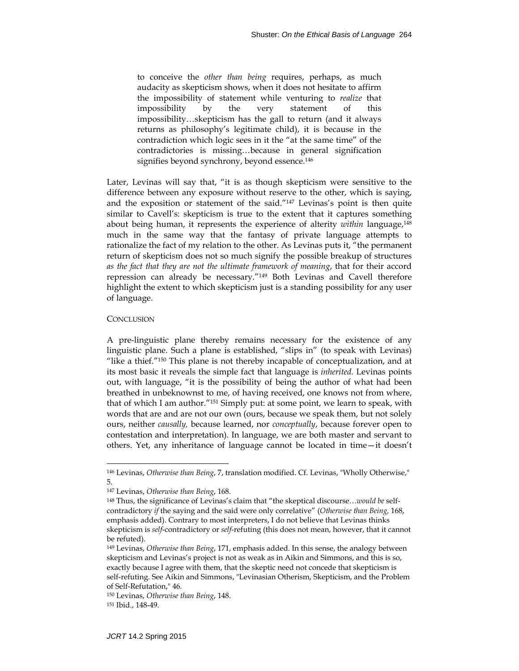to conceive the *other than being* requires, perhaps, as much audacity as skepticism shows, when it does not hesitate to affirm the impossibility of statement while venturing to *realize* that impossibility by the very statement of this impossibility…skepticism has the gall to return (and it always returns as philosophy's legitimate child), it is because in the contradiction which logic sees in it the "at the same time" of the contradictories is missing…because in general signification signifies beyond synchrony, beyond essence.<sup>146</sup>

Later, Levinas will say that, "it is as though skepticism were sensitive to the difference between any exposure without reserve to the other, which is saying, and the exposition or statement of the said."147 Levinas's point is then quite similar to Cavell's: skepticism is true to the extent that it captures something about being human, it represents the experience of alterity *within* language,148 much in the same way that the fantasy of private language attempts to rationalize the fact of my relation to the other. As Levinas puts it, "the permanent return of skepticism does not so much signify the possible breakup of structures *as the fact that they are not the ultimate framework of meaning*, that for their accord repression can already be necessary."149 Both Levinas and Cavell therefore highlight the extent to which skepticism just is a standing possibility for any user of language.

#### **CONCLUSION**

l

A pre-linguistic plane thereby remains necessary for the existence of any linguistic plane. Such a plane is established, "slips in" (to speak with Levinas) "like a thief."150 This plane is not thereby incapable of conceptualization, and at its most basic it reveals the simple fact that language is *inherited.* Levinas points out, with language, "it is the possibility of being the author of what had been breathed in unbeknownst to me, of having received, one knows not from where, that of which I am author."151 Simply put: at some point, we learn to speak, with words that are and are not our own (ours, because we speak them, but not solely ours, neither *causally,* because learned, nor *conceptually*, because forever open to contestation and interpretation). In language, we are both master and servant to others. Yet, any inheritance of language cannot be located in time—it doesn't

<sup>146</sup> Levinas, *Otherwise than Being*, 7, translation modified. Cf. Levinas, "Wholly Otherwise," 5.

<sup>147</sup> Levinas, *Otherwise than Being*, 168.

<sup>148</sup> Thus, the significance of Levinas's claim that "the skeptical discourse…*would be* selfcontradictory *if* the saying and the said were only correlative" (*Otherwise than Being,* 168, emphasis added). Contrary to most interpreters, I do not believe that Levinas thinks skepticism is *self*-contradictory or *self*-refuting (this does not mean, however, that it cannot be refuted).

<sup>149</sup> Levinas, *Otherwise than Being*, 171, emphasis added. In this sense, the analogy between skepticism and Levinas's project is not as weak as in Aikin and Simmons, and this is so, exactly because I agree with them, that the skeptic need not concede that skepticism is self-refuting. See Aikin and Simmons, "Levinasian Otherism, Skepticism, and the Problem of Self-Refutation," 46.

<sup>150</sup> Levinas, *Otherwise than Being*, 148.

<sup>151</sup> Ibid., 148-49.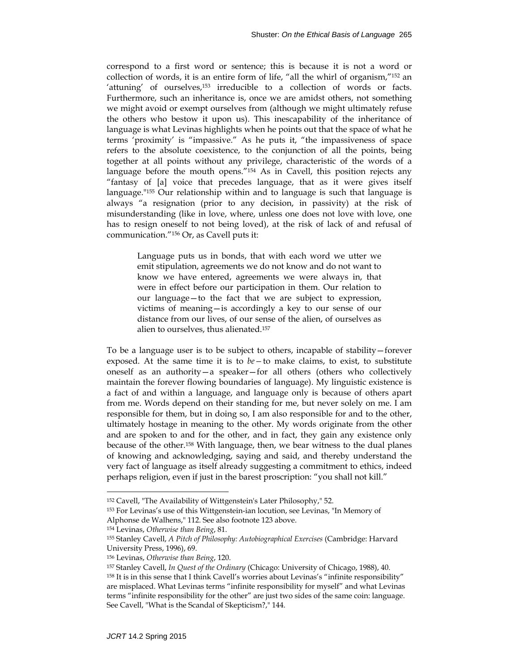correspond to a first word or sentence; this is because it is not a word or collection of words, it is an entire form of life, "all the whirl of organism,"152 an 'attuning' of ourselves,<sup>153</sup> irreducible to a collection of words or facts. Furthermore, such an inheritance is, once we are amidst others, not something we might avoid or exempt ourselves from (although we might ultimately refuse the others who bestow it upon us). This inescapability of the inheritance of language is what Levinas highlights when he points out that the space of what he terms 'proximity' is "impassive." As he puts it, "the impassiveness of space refers to the absolute coexistence, to the conjunction of all the points, being together at all points without any privilege, characteristic of the words of a language before the mouth opens."154 As in Cavell, this position rejects any "fantasy of [a] voice that precedes language, that as it were gives itself language."155 Our relationship within and to language is such that language is always "a resignation (prior to any decision, in passivity) at the risk of misunderstanding (like in love, where, unless one does not love with love, one has to resign oneself to not being loved), at the risk of lack of and refusal of communication."156 Or, as Cavell puts it:

> Language puts us in bonds, that with each word we utter we emit stipulation, agreements we do not know and do not want to know we have entered, agreements we were always in, that were in effect before our participation in them. Our relation to our language—to the fact that we are subject to expression, victims of meaning—is accordingly a key to our sense of our distance from our lives, of our sense of the alien, of ourselves as alien to ourselves, thus alienated.157

To be a language user is to be subject to others, incapable of stability—forever exposed. At the same time it is to *be—*to make claims, to exist, to substitute oneself as an authority—a speaker—for all others (others who collectively maintain the forever flowing boundaries of language). My linguistic existence is a fact of and within a language, and language only is because of others apart from me. Words depend on their standing for me, but never solely on me. I am responsible for them, but in doing so, I am also responsible for and to the other, ultimately hostage in meaning to the other. My words originate from the other and are spoken to and for the other, and in fact, they gain any existence only because of the other.158 With language, then, we bear witness to the dual planes of knowing and acknowledging, saying and said, and thereby understand the very fact of language as itself already suggesting a commitment to ethics, indeed perhaps religion, even if just in the barest proscription: "you shall not kill."

<sup>152</sup> Cavell, "The Availability of Wittgenstein's Later Philosophy," 52.

<sup>153</sup> For Levinas's use of this Wittgenstein-ian locution, see Levinas, "In Memory of

Alphonse de Walhens," 112. See also footnote 123 above.

<sup>154</sup> Levinas, *Otherwise than Being*, 81.

<sup>155</sup> Stanley Cavell, *A Pitch of Philosophy: Autobiographical Exercises* (Cambridge: Harvard University Press, 1996), 69.

<sup>156</sup> Levinas, *Otherwise than Being*, 120.

<sup>157</sup> Stanley Cavell, *In Quest of the Ordinary* (Chicago: University of Chicago, 1988), 40.

<sup>158</sup> It is in this sense that I think Cavell's worries about Levinas's "infinite responsibility" are misplaced. What Levinas terms "infinite responsibility for myself" and what Levinas terms "infinite responsibility for the other" are just two sides of the same coin: language. See Cavell, "What is the Scandal of Skepticism?," 144.